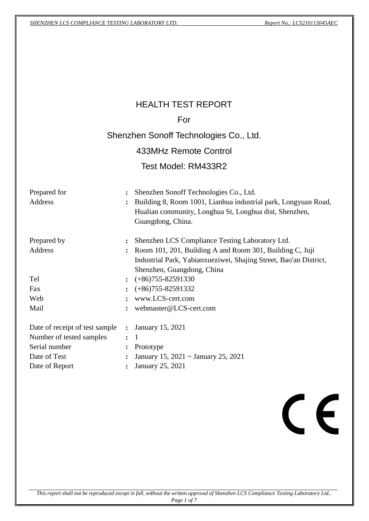|                                                                                                               |                                                                                        | <b>HEALTH TEST REPORT</b>                                                                                                                                                                                        |
|---------------------------------------------------------------------------------------------------------------|----------------------------------------------------------------------------------------|------------------------------------------------------------------------------------------------------------------------------------------------------------------------------------------------------------------|
|                                                                                                               |                                                                                        | For                                                                                                                                                                                                              |
|                                                                                                               |                                                                                        | Shenzhen Sonoff Technologies Co., Ltd.                                                                                                                                                                           |
|                                                                                                               |                                                                                        | 433MHz Remote Control                                                                                                                                                                                            |
|                                                                                                               |                                                                                        | Test Model: RM433R2                                                                                                                                                                                              |
| Prepared for<br><b>Address</b>                                                                                | $\ddot{\cdot}$                                                                         | Shenzhen Sonoff Technologies Co., Ltd.<br>Building 8, Room 1001, Lianhua industrial park, Longyuan Road,<br>Hualian community, Longhua St, Longhua dist, Shenzhen,<br>Guangdong, China.                          |
| Prepared by<br><b>Address</b>                                                                                 | $\ddot{\cdot}$                                                                         | Shenzhen LCS Compliance Testing Laboratory Ltd.<br>: Room 101, 201, Building A and Room 301, Building C, Juji<br>Industrial Park, Yabianxueziwei, Shajing Street, Bao'an District,<br>Shenzhen, Guangdong, China |
| Tel                                                                                                           |                                                                                        | $\div$ (+86)755-82591330                                                                                                                                                                                         |
| Fax                                                                                                           |                                                                                        | $\div$ (+86)755-82591332                                                                                                                                                                                         |
| Web                                                                                                           | $\ddot{\cdot}$                                                                         | www.LCS-cert.com                                                                                                                                                                                                 |
| Mail                                                                                                          | $\ddot{\cdot}$                                                                         | webmaster@LCS-cert.com                                                                                                                                                                                           |
| Date of receipt of test sample<br>Number of tested samples<br>Serial number<br>Date of Test<br>Date of Report | $\ddot{\cdot}$<br>$\ddot{\cdot}$<br>$\ddot{\cdot}$<br>$\ddot{\cdot}$<br>$\ddot{\cdot}$ | January 15, 2021<br>$\mathbf{1}$<br>Prototype<br>January 15, 2021 ~ January 25, 2021<br>January 25, 2021                                                                                                         |
|                                                                                                               |                                                                                        |                                                                                                                                                                                                                  |

# $C<sub>f</sub>$

*This report shall not be reproduced except in full, without the written approval of Shenzhen LCS Compliance Testing Laboratory Ltd.. Page 1 of 7*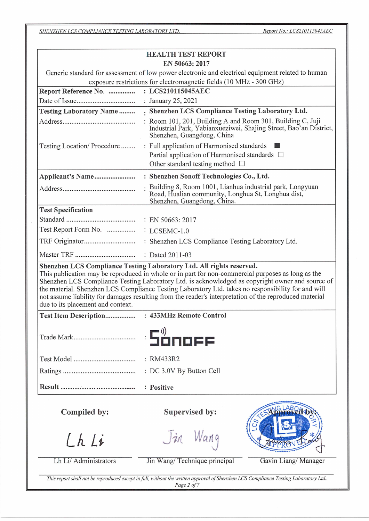Report No.: LCS210115045AEC

SHENZHEN LCS COMPLIANCE TESTING LABORATORY LTD.

| <b>HEALTH TEST REPORT</b><br>EN 50663: 2017<br>Generic standard for assessment of low power electronic and electrical equipment related to human<br>exposure restrictions for electromagnetic fields (10 MHz - 300 GHz)<br>: LCS210115045AEC<br>Report Reference No.<br>: January 25, 2021<br>. Shenzhen LCS Compliance Testing Laboratory Ltd.<br><b>Testing Laboratory Name</b><br>: Room 101, 201, Building A and Room 301, Building C, Juji<br>Industrial Park, Yabianxueziwei, Shajing Street, Bao'an District,<br>Shenzhen, Guangdong, China<br>: Full application of Harmonised standards l<br>Testing Location/Procedure<br>Partial application of Harmonised standards □<br>Other standard testing method $\Box$<br>Applicant's Name<br>: Shenzhen Sonoff Technologies Co., Ltd.<br>Building 8, Room 1001, Lianhua industrial park, Longyuan<br>Road, Hualian community, Longhua St, Longhua dist,<br>Shenzhen, Guangdong, China.<br><b>Test Specification</b><br>Shenzhen LCS Compliance Testing Laboratory Ltd. All rights reserved.<br>This publication may be reproduced in whole or in part for non-commercial purposes as long as the<br>Shenzhen LCS Compliance Testing Laboratory Ltd. is acknowledged as copyright owner and source of<br>the material. Shenzhen LCS Compliance Testing Laboratory Ltd. takes no responsibility for and will<br>not assume liability for damages resulting from the reader's interpretation of the reproduced material<br>due to its placement and context.<br>: RM433R2<br>: DC 3.0V By Button Cell<br>: Positive<br>Supervised by:<br>Compiled by:<br>Jin Wang<br>Lh Li<br>Lh Li/ Administrators<br>Jin Wang/Technique principal<br>Gavin Liang/Manager |  |  |  |  |  |
|-------------------------------------------------------------------------------------------------------------------------------------------------------------------------------------------------------------------------------------------------------------------------------------------------------------------------------------------------------------------------------------------------------------------------------------------------------------------------------------------------------------------------------------------------------------------------------------------------------------------------------------------------------------------------------------------------------------------------------------------------------------------------------------------------------------------------------------------------------------------------------------------------------------------------------------------------------------------------------------------------------------------------------------------------------------------------------------------------------------------------------------------------------------------------------------------------------------------------------------------------------------------------------------------------------------------------------------------------------------------------------------------------------------------------------------------------------------------------------------------------------------------------------------------------------------------------------------------------------------------------------------------------------------------------------------------------------------|--|--|--|--|--|
|                                                                                                                                                                                                                                                                                                                                                                                                                                                                                                                                                                                                                                                                                                                                                                                                                                                                                                                                                                                                                                                                                                                                                                                                                                                                                                                                                                                                                                                                                                                                                                                                                                                                                                             |  |  |  |  |  |
|                                                                                                                                                                                                                                                                                                                                                                                                                                                                                                                                                                                                                                                                                                                                                                                                                                                                                                                                                                                                                                                                                                                                                                                                                                                                                                                                                                                                                                                                                                                                                                                                                                                                                                             |  |  |  |  |  |
|                                                                                                                                                                                                                                                                                                                                                                                                                                                                                                                                                                                                                                                                                                                                                                                                                                                                                                                                                                                                                                                                                                                                                                                                                                                                                                                                                                                                                                                                                                                                                                                                                                                                                                             |  |  |  |  |  |
|                                                                                                                                                                                                                                                                                                                                                                                                                                                                                                                                                                                                                                                                                                                                                                                                                                                                                                                                                                                                                                                                                                                                                                                                                                                                                                                                                                                                                                                                                                                                                                                                                                                                                                             |  |  |  |  |  |
|                                                                                                                                                                                                                                                                                                                                                                                                                                                                                                                                                                                                                                                                                                                                                                                                                                                                                                                                                                                                                                                                                                                                                                                                                                                                                                                                                                                                                                                                                                                                                                                                                                                                                                             |  |  |  |  |  |
|                                                                                                                                                                                                                                                                                                                                                                                                                                                                                                                                                                                                                                                                                                                                                                                                                                                                                                                                                                                                                                                                                                                                                                                                                                                                                                                                                                                                                                                                                                                                                                                                                                                                                                             |  |  |  |  |  |
|                                                                                                                                                                                                                                                                                                                                                                                                                                                                                                                                                                                                                                                                                                                                                                                                                                                                                                                                                                                                                                                                                                                                                                                                                                                                                                                                                                                                                                                                                                                                                                                                                                                                                                             |  |  |  |  |  |
|                                                                                                                                                                                                                                                                                                                                                                                                                                                                                                                                                                                                                                                                                                                                                                                                                                                                                                                                                                                                                                                                                                                                                                                                                                                                                                                                                                                                                                                                                                                                                                                                                                                                                                             |  |  |  |  |  |
|                                                                                                                                                                                                                                                                                                                                                                                                                                                                                                                                                                                                                                                                                                                                                                                                                                                                                                                                                                                                                                                                                                                                                                                                                                                                                                                                                                                                                                                                                                                                                                                                                                                                                                             |  |  |  |  |  |
|                                                                                                                                                                                                                                                                                                                                                                                                                                                                                                                                                                                                                                                                                                                                                                                                                                                                                                                                                                                                                                                                                                                                                                                                                                                                                                                                                                                                                                                                                                                                                                                                                                                                                                             |  |  |  |  |  |
|                                                                                                                                                                                                                                                                                                                                                                                                                                                                                                                                                                                                                                                                                                                                                                                                                                                                                                                                                                                                                                                                                                                                                                                                                                                                                                                                                                                                                                                                                                                                                                                                                                                                                                             |  |  |  |  |  |
|                                                                                                                                                                                                                                                                                                                                                                                                                                                                                                                                                                                                                                                                                                                                                                                                                                                                                                                                                                                                                                                                                                                                                                                                                                                                                                                                                                                                                                                                                                                                                                                                                                                                                                             |  |  |  |  |  |
|                                                                                                                                                                                                                                                                                                                                                                                                                                                                                                                                                                                                                                                                                                                                                                                                                                                                                                                                                                                                                                                                                                                                                                                                                                                                                                                                                                                                                                                                                                                                                                                                                                                                                                             |  |  |  |  |  |
|                                                                                                                                                                                                                                                                                                                                                                                                                                                                                                                                                                                                                                                                                                                                                                                                                                                                                                                                                                                                                                                                                                                                                                                                                                                                                                                                                                                                                                                                                                                                                                                                                                                                                                             |  |  |  |  |  |
|                                                                                                                                                                                                                                                                                                                                                                                                                                                                                                                                                                                                                                                                                                                                                                                                                                                                                                                                                                                                                                                                                                                                                                                                                                                                                                                                                                                                                                                                                                                                                                                                                                                                                                             |  |  |  |  |  |
|                                                                                                                                                                                                                                                                                                                                                                                                                                                                                                                                                                                                                                                                                                                                                                                                                                                                                                                                                                                                                                                                                                                                                                                                                                                                                                                                                                                                                                                                                                                                                                                                                                                                                                             |  |  |  |  |  |
|                                                                                                                                                                                                                                                                                                                                                                                                                                                                                                                                                                                                                                                                                                                                                                                                                                                                                                                                                                                                                                                                                                                                                                                                                                                                                                                                                                                                                                                                                                                                                                                                                                                                                                             |  |  |  |  |  |
|                                                                                                                                                                                                                                                                                                                                                                                                                                                                                                                                                                                                                                                                                                                                                                                                                                                                                                                                                                                                                                                                                                                                                                                                                                                                                                                                                                                                                                                                                                                                                                                                                                                                                                             |  |  |  |  |  |
|                                                                                                                                                                                                                                                                                                                                                                                                                                                                                                                                                                                                                                                                                                                                                                                                                                                                                                                                                                                                                                                                                                                                                                                                                                                                                                                                                                                                                                                                                                                                                                                                                                                                                                             |  |  |  |  |  |
|                                                                                                                                                                                                                                                                                                                                                                                                                                                                                                                                                                                                                                                                                                                                                                                                                                                                                                                                                                                                                                                                                                                                                                                                                                                                                                                                                                                                                                                                                                                                                                                                                                                                                                             |  |  |  |  |  |
|                                                                                                                                                                                                                                                                                                                                                                                                                                                                                                                                                                                                                                                                                                                                                                                                                                                                                                                                                                                                                                                                                                                                                                                                                                                                                                                                                                                                                                                                                                                                                                                                                                                                                                             |  |  |  |  |  |
|                                                                                                                                                                                                                                                                                                                                                                                                                                                                                                                                                                                                                                                                                                                                                                                                                                                                                                                                                                                                                                                                                                                                                                                                                                                                                                                                                                                                                                                                                                                                                                                                                                                                                                             |  |  |  |  |  |
|                                                                                                                                                                                                                                                                                                                                                                                                                                                                                                                                                                                                                                                                                                                                                                                                                                                                                                                                                                                                                                                                                                                                                                                                                                                                                                                                                                                                                                                                                                                                                                                                                                                                                                             |  |  |  |  |  |
|                                                                                                                                                                                                                                                                                                                                                                                                                                                                                                                                                                                                                                                                                                                                                                                                                                                                                                                                                                                                                                                                                                                                                                                                                                                                                                                                                                                                                                                                                                                                                                                                                                                                                                             |  |  |  |  |  |
|                                                                                                                                                                                                                                                                                                                                                                                                                                                                                                                                                                                                                                                                                                                                                                                                                                                                                                                                                                                                                                                                                                                                                                                                                                                                                                                                                                                                                                                                                                                                                                                                                                                                                                             |  |  |  |  |  |
|                                                                                                                                                                                                                                                                                                                                                                                                                                                                                                                                                                                                                                                                                                                                                                                                                                                                                                                                                                                                                                                                                                                                                                                                                                                                                                                                                                                                                                                                                                                                                                                                                                                                                                             |  |  |  |  |  |
|                                                                                                                                                                                                                                                                                                                                                                                                                                                                                                                                                                                                                                                                                                                                                                                                                                                                                                                                                                                                                                                                                                                                                                                                                                                                                                                                                                                                                                                                                                                                                                                                                                                                                                             |  |  |  |  |  |

Page 2 of  $7$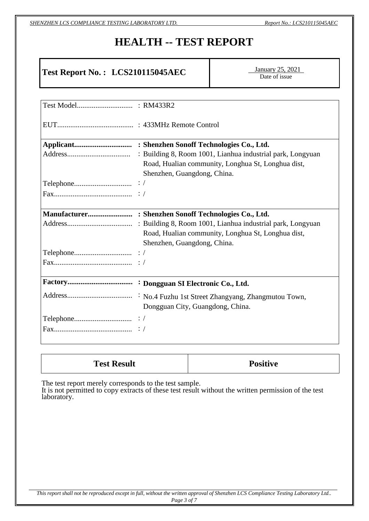*SHENZHEN LCS COMPLIANCE TESTING LABORATORY LTD. Report No.: LCS210115045AEC*

# **HEALTH -- TEST REPORT**

# **Test Report No. : LCS210115045AEC**

**January 25, 2021** Date of issue

| Road, Hualian community, Longhua St, Longhua dist, |
|----------------------------------------------------|
| Shenzhen, Guangdong, China.                        |
|                                                    |
|                                                    |
|                                                    |
|                                                    |
|                                                    |
| Road, Hualian community, Longhua St, Longhua dist, |
| Shenzhen, Guangdong, China.                        |
|                                                    |
|                                                    |
|                                                    |
|                                                    |
| Dongguan City, Guangdong, China.                   |
|                                                    |
|                                                    |

| <b>Test Result</b> | <b>Positive</b> |
|--------------------|-----------------|
|--------------------|-----------------|

The test report merely corresponds to the test sample.

It is not permitted to copy extracts of these test result without the written permission of the test laboratory.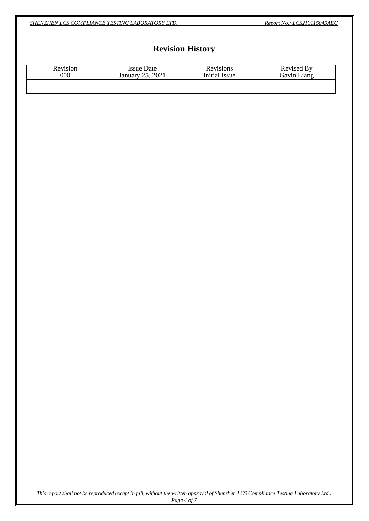*SHENZHEN LCS COMPLIANCE TESTING LABORATORY LTD. Report No.: LCS210115045AEC*

# **Revision History**

| Revision | <b>Issue Date</b>   | Revisions     | Revised By  |
|----------|---------------------|---------------|-------------|
| 000      | 2021<br>January 25. | Initial Issue | Gavin Liang |
|          |                     |               |             |
|          |                     |               |             |

*This report shall not be reproduced except in full, without the written approval of Shenzhen LCS Compliance Testing Laboratory Ltd.. Page 4 of 7*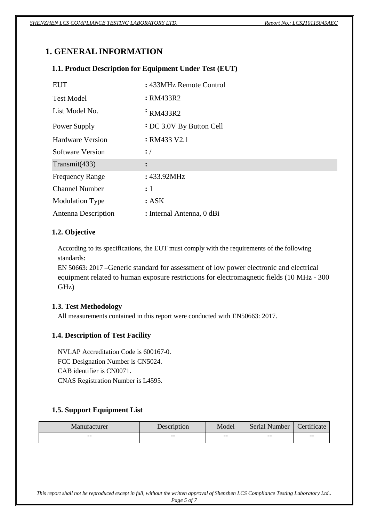# **1. GENERAL INFORMATION**

# **1.1. Product Description for Equipment Under Test (EUT)**

| EUT                     | : 433MHz Remote Control         |
|-------------------------|---------------------------------|
| <b>Test Model</b>       | : RM433R2                       |
| List Model No.          | $\cdot$ RM433R2                 |
| Power Supply            | <b>:</b> DC 3.0V By Button Cell |
| Hardware Version        | : RM433 V2.1                    |
| <b>Software Version</b> | $\cdot$ /                       |
| Transmit $(433)$        | $\ddot{\cdot}$                  |
| <b>Frequency Range</b>  | : 433.92MHz                     |
| <b>Channel Number</b>   | $\colon 1$                      |
| <b>Modulation Type</b>  | : ASK                           |
| Antenna Description     | : Internal Antenna, 0 dBi       |

# **1.2. Objective**

According to its specifications, the EUT must comply with the requirements of the following standards:

EN 50663: 2017 –Generic standard for assessment of low power electronic and electrical equipment related to human exposure restrictions for electromagnetic fields (10 MHz - 300 GHz)

# **1.3. Test Methodology**

All measurements contained in this report were conducted with EN50663: 2017.

# **1.4. Description of Test Facility**

NVLAP Accreditation Code is 600167-0. FCC Designation Number is CN5024. CAB identifier is CN0071. CNAS Registration Number is L4595.

# **1.5. Support Equipment List**

| Manufacturer | Description | Model                    | Serial Number | Certificate              |
|--------------|-------------|--------------------------|---------------|--------------------------|
| $- -$        | $- -$       | $\overline{\phantom{m}}$ | $- -$         | $\overline{\phantom{m}}$ |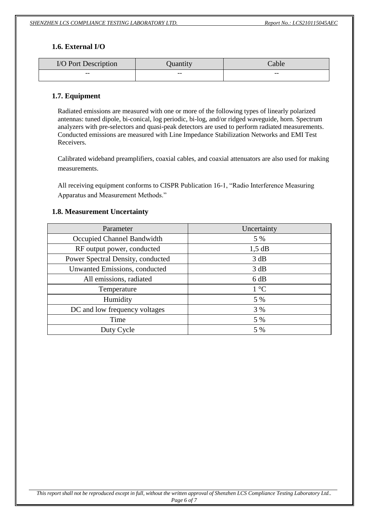# **1.6. External I/O**

| I/O Port Description | Quantity | Cable |
|----------------------|----------|-------|
| $- -$                | $- -$    | $- -$ |

## **1.7. Equipment**

Radiated emissions are measured with one or more of the following types of linearly polarized antennas: tuned dipole, bi-conical, log periodic, bi-log, and/or ridged waveguide, horn. Spectrum analyzers with pre-selectors and quasi-peak detectors are used to perform radiated measurements. Conducted emissions are measured with Line Impedance Stabilization Networks and EMI Test Receivers.

Calibrated wideband preamplifiers, coaxial cables, and coaxial attenuators are also used for making measurements.

All receiving equipment conforms to CISPR Publication 16-1, "Radio Interference Measuring Apparatus and Measurement Methods."

# **1.8. Measurement Uncertainty**

| Parameter                         | Uncertainty           |
|-----------------------------------|-----------------------|
| Occupied Channel Bandwidth        | 5 %                   |
| RF output power, conducted        | $1,5$ dB              |
| Power Spectral Density, conducted | 3 dB                  |
| Unwanted Emissions, conducted     | 3 dB                  |
| All emissions, radiated           | 6 dB                  |
| Temperature                       | $1 \text{ }^{\circ}C$ |
| Humidity                          | 5 %                   |
| DC and low frequency voltages     | 3 %                   |
| Time                              | 5 %                   |
| Duty Cycle                        | 5 %                   |